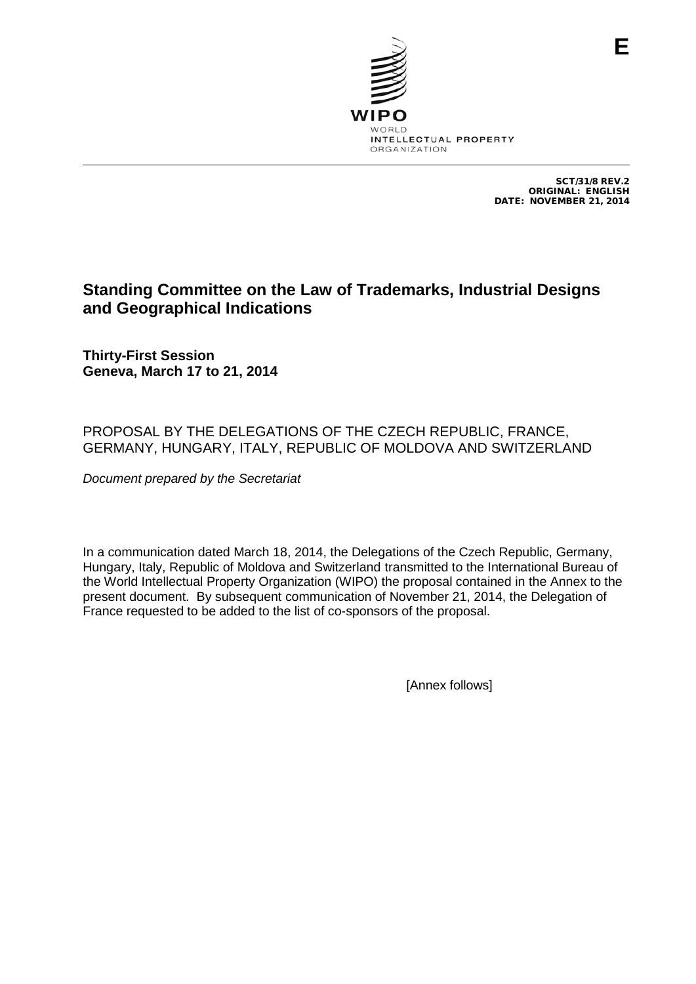

SCT/31/8 REV.2 ORIGINAL: ENGLISH DATE: NOVEMBER 21, 2014

**E**

# **Standing Committee on the Law of Trademarks, Industrial Designs and Geographical Indications**

**Thirty-First Session Geneva, March 17 to 21, 2014**

## PROPOSAL BY THE DELEGATIONS OF THE CZECH REPUBLIC, FRANCE, GERMANY, HUNGARY, ITALY, REPUBLIC OF MOLDOVA AND SWITZERLAND

*Document prepared by the Secretariat*

In a communication dated March 18, 2014, the Delegations of the Czech Republic, Germany, Hungary, Italy, Republic of Moldova and Switzerland transmitted to the International Bureau of the World Intellectual Property Organization (WIPO) the proposal contained in the Annex to the present document. By subsequent communication of November 21, 2014, the Delegation of France requested to be added to the list of co-sponsors of the proposal.

[Annex follows]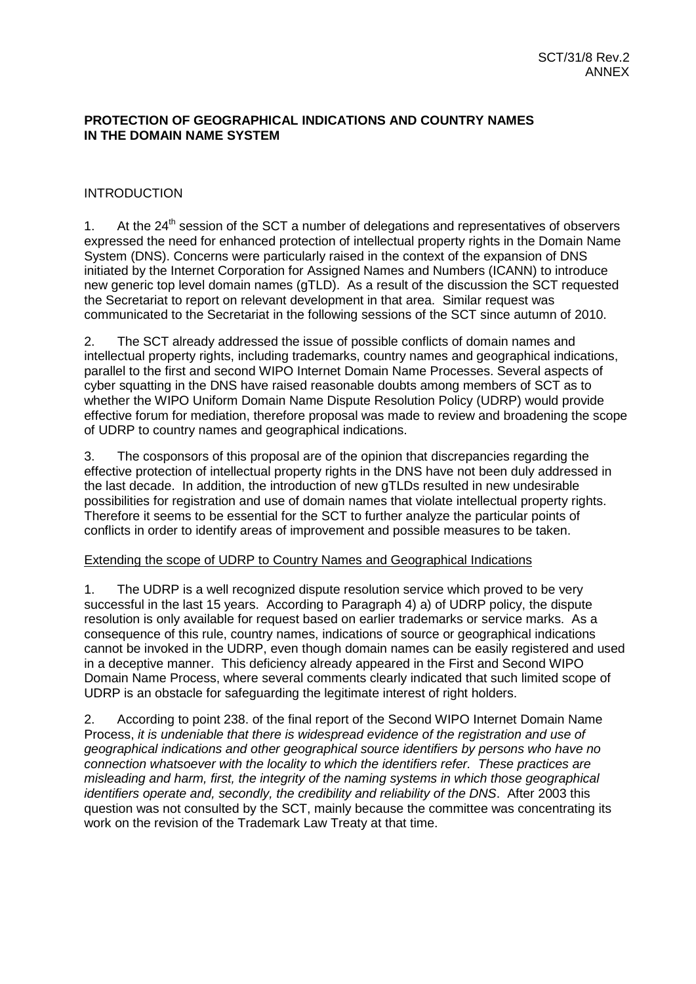### **PROTECTION OF GEOGRAPHICAL INDICATIONS AND COUNTRY NAMES IN THE DOMAIN NAME SYSTEM**

## INTRODUCTION

1. At the  $24<sup>th</sup>$  session of the SCT a number of delegations and representatives of observers expressed the need for enhanced protection of intellectual property rights in the Domain Name System (DNS). Concerns were particularly raised in the context of the expansion of DNS initiated by the Internet Corporation for Assigned Names and Numbers (ICANN) to introduce new generic top level domain names (gTLD). As a result of the discussion the SCT requested the Secretariat to report on relevant development in that area. Similar request was communicated to the Secretariat in the following sessions of the SCT since autumn of 2010.

2. The SCT already addressed the issue of possible conflicts of domain names and intellectual property rights, including trademarks, country names and geographical indications, parallel to the first and second WIPO Internet Domain Name Processes. Several aspects of cyber squatting in the DNS have raised reasonable doubts among members of SCT as to whether the WIPO Uniform Domain Name Dispute Resolution Policy (UDRP) would provide effective forum for mediation, therefore proposal was made to review and broadening the scope of UDRP to country names and geographical indications.

3. The cosponsors of this proposal are of the opinion that discrepancies regarding the effective protection of intellectual property rights in the DNS have not been duly addressed in the last decade. In addition, the introduction of new gTLDs resulted in new undesirable possibilities for registration and use of domain names that violate intellectual property rights. Therefore it seems to be essential for the SCT to further analyze the particular points of conflicts in order to identify areas of improvement and possible measures to be taken.

#### Extending the scope of UDRP to Country Names and Geographical Indications

1. The UDRP is a well recognized dispute resolution service which proved to be very successful in the last 15 years. According to Paragraph 4) a) of UDRP policy, the dispute resolution is only available for request based on earlier trademarks or service marks. As a consequence of this rule, country names, indications of source or geographical indications cannot be invoked in the UDRP, even though domain names can be easily registered and used in a deceptive manner. This deficiency already appeared in the First and Second WIPO Domain Name Process, where several comments clearly indicated that such limited scope of UDRP is an obstacle for safeguarding the legitimate interest of right holders.

2. According to point 238. of the final report of the Second WIPO Internet Domain Name Process, *it is undeniable that there is widespread evidence of the registration and use of geographical indications and other geographical source identifiers by persons who have no connection whatsoever with the locality to which the identifiers refer. These practices are misleading and harm, first, the integrity of the naming systems in which those geographical*  identifiers operate and, secondly, the credibility and reliability of the DNS. After 2003 this question was not consulted by the SCT, mainly because the committee was concentrating its work on the revision of the Trademark Law Treaty at that time.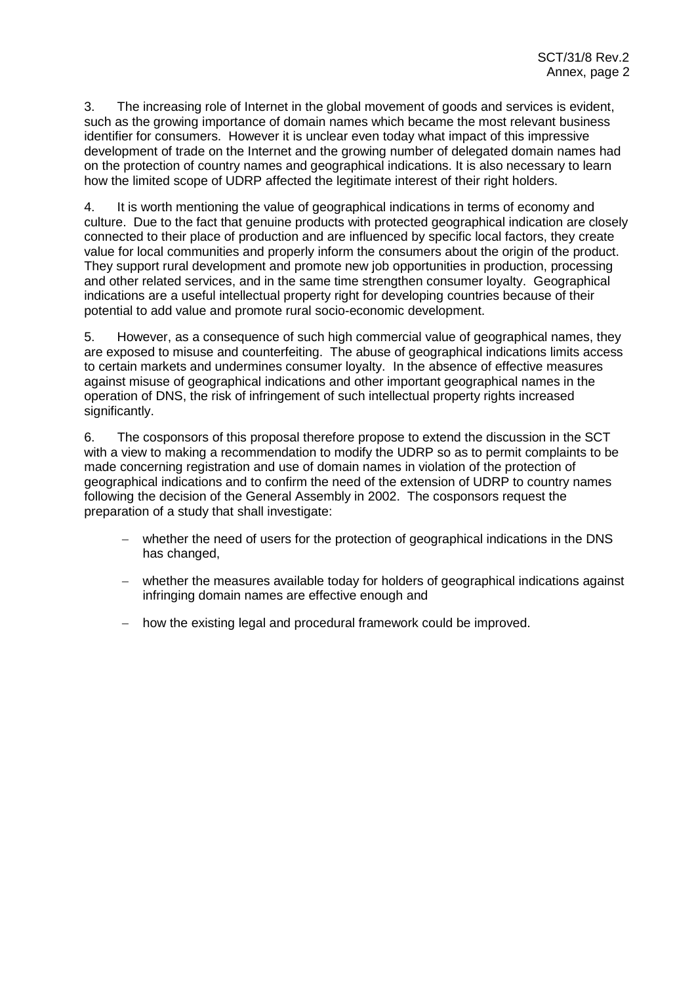3. The increasing role of Internet in the global movement of goods and services is evident, such as the growing importance of domain names which became the most relevant business identifier for consumers. However it is unclear even today what impact of this impressive development of trade on the Internet and the growing number of delegated domain names had on the protection of country names and geographical indications. It is also necessary to learn how the limited scope of UDRP affected the legitimate interest of their right holders.

4. It is worth mentioning the value of geographical indications in terms of economy and culture. Due to the fact that genuine products with protected geographical indication are closely connected to their place of production and are influenced by specific local factors, they create value for local communities and properly inform the consumers about the origin of the product. They support rural development and promote new job opportunities in production, processing and other related services, and in the same time strengthen consumer loyalty. Geographical indications are a useful intellectual property right for developing countries because of their potential to add value and promote rural socio-economic development.

5. However, as a consequence of such high commercial value of geographical names, they are exposed to misuse and counterfeiting. The abuse of geographical indications limits access to certain markets and undermines consumer loyalty. In the absence of effective measures against misuse of geographical indications and other important geographical names in the operation of DNS, the risk of infringement of such intellectual property rights increased significantly.

6. The cosponsors of this proposal therefore propose to extend the discussion in the SCT with a view to making a recommendation to modify the UDRP so as to permit complaints to be made concerning registration and use of domain names in violation of the protection of geographical indications and to confirm the need of the extension of UDRP to country names following the decision of the General Assembly in 2002. The cosponsors request the preparation of a study that shall investigate:

- − whether the need of users for the protection of geographical indications in the DNS has changed,
- − whether the measures available today for holders of geographical indications against infringing domain names are effective enough and
- − how the existing legal and procedural framework could be improved.